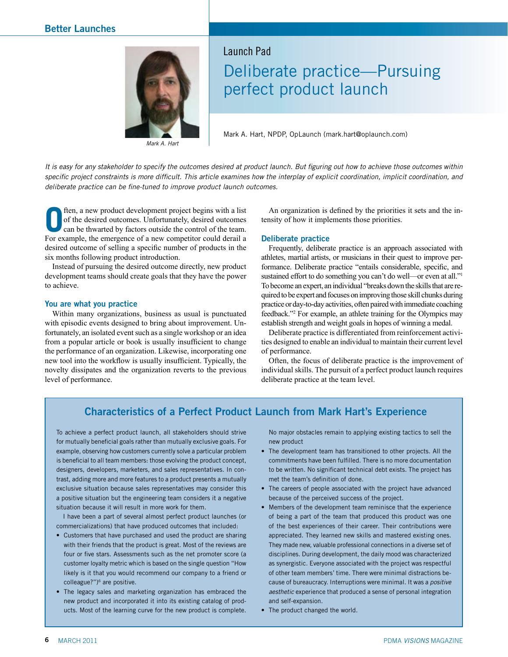

*Mark A. Hart*

## Launch Pad Deliberate practice—Pursuing perfect product launch

Mark A. Hart, NPDP, OpLaunch (mark.hart@oplaunch.com)

*It is easy for any stakeholder to specify the outcomes desired at product launch. But figuring out how to achieve those outcomes within specific project constraints is more difficult. This article examines how the interplay of explicit coordination, implicit coordination, and deliberate practice can be fine-tuned to improve product launch outcomes.*

**O**ften, a new product development project begins with a list of the desired outcomes. Unfortunately, desired outcomes can be thwarted by factors outside the control of the team. of the desired outcomes. Unfortunately, desired outcomes can be thwarted by factors outside the control of the team. For example, the emergence of a new competitor could derail a desired outcome of selling a specific number of products in the six months following product introduction.

Instead of pursuing the desired outcome directly, new product development teams should create goals that they have the power to achieve.

#### **You are what you practice**

Within many organizations, business as usual is punctuated with episodic events designed to bring about improvement. Unfortunately, an isolated event such as a single workshop or an idea from a popular article or book is usually insufficient to change the performance of an organization. Likewise, incorporating one new tool into the workflow is usually insufficient. Typically, the novelty dissipates and the organization reverts to the previous level of performance.

An organization is defined by the priorities it sets and the intensity of how it implements those priorities.

#### **Deliberate practice**

Frequently, deliberate practice is an approach associated with athletes, martial artists, or musicians in their quest to improve performance. Deliberate practice "entails considerable, specific, and sustained effort to do something you can't do well—or even at all."1 To become an expert, an individual "breaks down the skills that are required to be expert and focuses on improving those skill chunks during practice or day-to-day activities, often paired with immediate coaching feedback."2 For example, an athlete training for the Olympics may establish strength and weight goals in hopes of winning a medal.

Deliberate practice is differentiated from reinforcement activities designed to enable an individual to maintain their current level of performance.

Often, the focus of deliberate practice is the improvement of individual skills. The pursuit of a perfect product launch requires deliberate practice at the team level.

### **Characteristics of a Perfect Product Launch from Mark Hart's Experience**

To achieve a perfect product launch, all stakeholders should strive for mutually beneficial goals rather than mutually exclusive goals. For example, observing how customers currently solve a particular problem is beneficial to all team members: those evolving the product concept, designers, developers, marketers, and sales representatives. In contrast, adding more and more features to a product presents a mutually exclusive situation because sales representatives may consider this a positive situation but the engineering team considers it a negative situation because it will result in more work for them.

I have been a part of several almost perfect product launches (or commercializations) that have produced outcomes that included:

- Customers that have purchased and used the product are sharing with their friends that the product is great. Most of the reviews are four or five stars. Assessments such as the net promoter score (a customer loyalty metric which is based on the single question "How likely is it that you would recommend our company to a friend or colleague?")<sup>6</sup> are positive.
- The legacy sales and marketing organization has embraced the new product and incorporated it into its existing catalog of products. Most of the learning curve for the new product is complete.

No major obstacles remain to applying existing tactics to sell the new product

- The development team has transitioned to other projects. All the commitments have been fulfilled. There is no more documentation to be written. No significant technical debt exists. The project has met the team's definition of done.
- The careers of people associated with the project have advanced because of the perceived success of the project.
- • Members of the development team reminisce that the experience of being a part of the team that produced this product was one of the best experiences of their career. Their contributions were appreciated. They learned new skills and mastered existing ones. They made new, valuable professional connections in a diverse set of disciplines. During development, the daily mood was characterized as synergistic. Everyone associated with the project was respectful of other team members' time. There were minimal distractions because of bureaucracy. Interruptions were minimal. It was a *positive aesthetic* experience that produced a sense of personal integration and self-expansion.
- The product changed the world.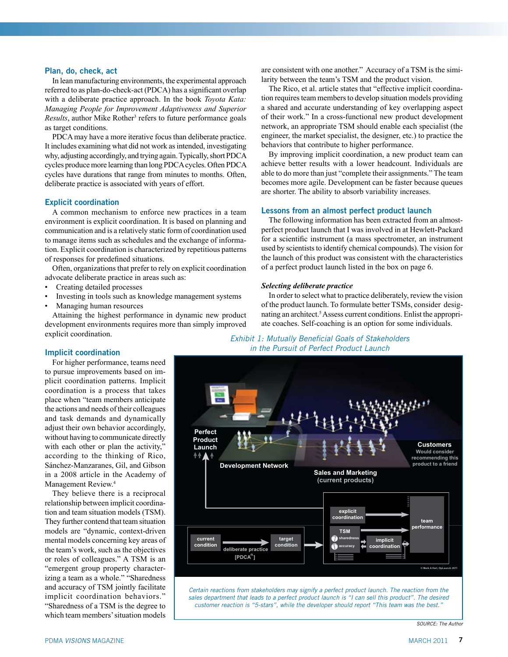#### **Plan, do, check, act**

In lean manufacturing environments, the experimental approach referred to as plan-do-check-act (PDCA) has a significant overlap with a deliberate practice approach. In the book *Toyota Kata: Managing People for Improvement Adaptiveness and Superior*  Results, author Mike Rother<sup>3</sup> refers to future performance goals as target conditions.

PDCA may have a more iterative focus than deliberate practice. It includes examining what did not work as intended, investigating why, adjusting accordingly, and trying again. Typically, short PDCA cycles produce more learning than long PDCA cycles. Often PDCA cycles have durations that range from minutes to months. Often, deliberate practice is associated with years of effort.

#### **Explicit coordination**

A common mechanism to enforce new practices in a team environment is explicit coordination. It is based on planning and communication and is a relatively static form of coordination used to manage items such as schedules and the exchange of information. Explicit coordination is characterized by repetitious patterns of responses for predefined situations.

Often, organizations that prefer to rely on explicit coordination advocate deliberate practice in areas such as:

- Creating detailed processes
- Investing in tools such as knowledge management systems
- Managing human resources

Attaining the highest performance in dynamic new product development environments requires more than simply improved explicit coordination.

are consistent with one another." Accuracy of a TSM is the similarity between the team's TSM and the product vision.

The Rico, et al. article states that "effective implicit coordination requires team members to develop situation models providing a shared and accurate understanding of key overlapping aspect of their work." In a cross-functional new product development network, an appropriate TSM should enable each specialist (the engineer, the market specialist, the designer, etc.) to practice the behaviors that contribute to higher performance.

By improving implicit coordination, a new product team can achieve better results with a lower headcount. Individuals are able to do more than just "complete their assignments." The team becomes more agile. Development can be faster because queues are shorter. The ability to absorb variability increases.

#### **Lessons from an almost perfect product launch**

The following information has been extracted from an almostperfect product launch that I was involved in at Hewlett-Packard for a scientific instrument (a mass spectrometer, an instrument used by scientists to identify chemical compounds). The vision for the launch of this product was consistent with the characteristics of a perfect product launch listed in the box on page 6.

#### *Selecting deliberate practice*

In order to select what to practice deliberately, review the vision of the product launch. To formulate better TSMs, consider designating an architect.<sup>5</sup> Assess current conditions. Enlist the appropriate coaches. Self-coaching is an option for some individuals.

#### **Implicit coordination**

For higher performance, teams need to pursue improvements based on implicit coordination patterns. Implicit coordination is a process that takes place when "team members anticipate the actions and needs of their colleagues and task demands and dynamically adjust their own behavior accordingly, without having to communicate directly with each other or plan the activity," according to the thinking of Rico, Sánchez-Manzaranes, Gil, and Gibson in a 2008 article in the Academy of Management Review.4

They believe there is a reciprocal relationship between implicit coordination and team situation models (TSM). They further contend that team situation models are "dynamic, context-driven mental models concerning key areas of the team's work, such as the objectives or roles of colleagues." A TSM is an "emergent group property characterizing a team as a whole." "Sharedness and accuracy of TSM jointly facilitate implicit coordination behaviors." "Sharedness of a TSM is the degree to which team members' situation models

*Exhibit 1: Mutually Beneficial Goals of Stakeholders in the Pursuit of Perfect Product Launch*



*Source: The Author*